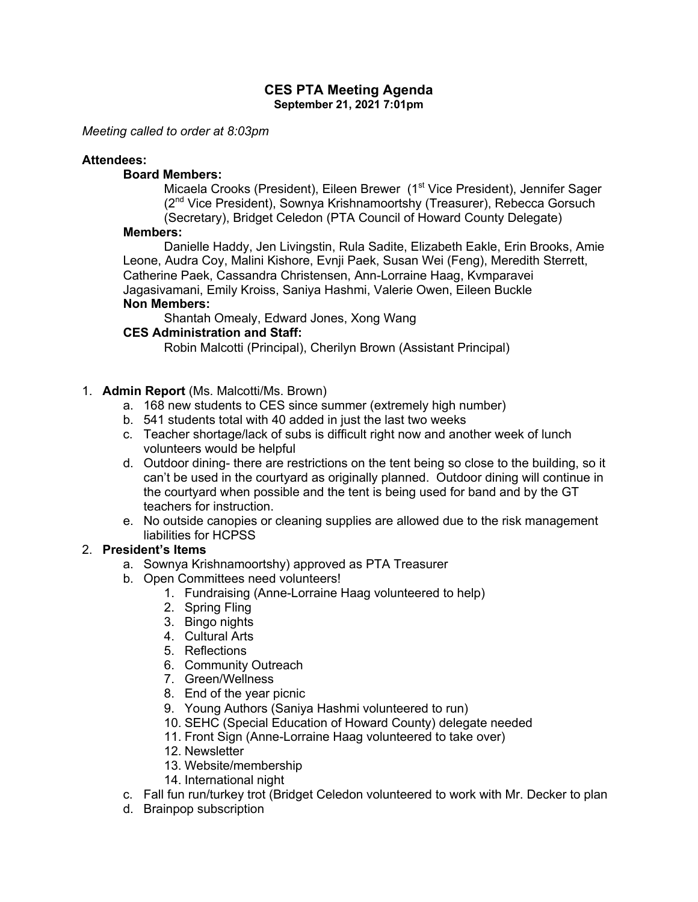#### **CES PTA Meeting Agenda September 21, 2021 7:01pm**

*Meeting called to order at 8:03pm*

### **Attendees:**

### **Board Members:**

Micaela Crooks (President), Eileen Brewer (1<sup>st</sup> Vice President), Jennifer Sager (2nd Vice President), Sownya Krishnamoortshy (Treasurer), Rebecca Gorsuch (Secretary), Bridget Celedon (PTA Council of Howard County Delegate)

#### **Members:**

Danielle Haddy, Jen Livingstin, Rula Sadite, Elizabeth Eakle, Erin Brooks, Amie Leone, Audra Coy, Malini Kishore, Evnji Paek, Susan Wei (Feng), Meredith Sterrett, Catherine Paek, Cassandra Christensen, Ann-Lorraine Haag, Kvmparavei Jagasivamani, Emily Kroiss, Saniya Hashmi, Valerie Owen, Eileen Buckle **Non Members:**

Shantah Omealy, Edward Jones, Xong Wang

## **CES Administration and Staff:**

Robin Malcotti (Principal), Cherilyn Brown (Assistant Principal)

#### 1. **Admin Report** (Ms. Malcotti/Ms. Brown)

- a. 168 new students to CES since summer (extremely high number)
- b. 541 students total with 40 added in just the last two weeks
- c. Teacher shortage/lack of subs is difficult right now and another week of lunch volunteers would be helpful
- d. Outdoor dining- there are restrictions on the tent being so close to the building, so it can't be used in the courtyard as originally planned. Outdoor dining will continue in the courtyard when possible and the tent is being used for band and by the GT teachers for instruction.
- e. No outside canopies or cleaning supplies are allowed due to the risk management liabilities for HCPSS

## 2. **President's Items**

- a. Sownya Krishnamoortshy) approved as PTA Treasurer
- b. Open Committees need volunteers!
	- 1. Fundraising (Anne-Lorraine Haag volunteered to help)
		- 2. Spring Fling
		- 3. Bingo nights
		- 4. Cultural Arts
		- 5. Reflections
		- 6. Community Outreach
		- 7. Green/Wellness
		- 8. End of the year picnic
		- 9. Young Authors (Saniya Hashmi volunteered to run)
		- 10. SEHC (Special Education of Howard County) delegate needed
		- 11. Front Sign (Anne-Lorraine Haag volunteered to take over)
		- 12. Newsletter
		- 13. Website/membership
		- 14. International night
- c. Fall fun run/turkey trot (Bridget Celedon volunteered to work with Mr. Decker to plan
- d. Brainpop subscription